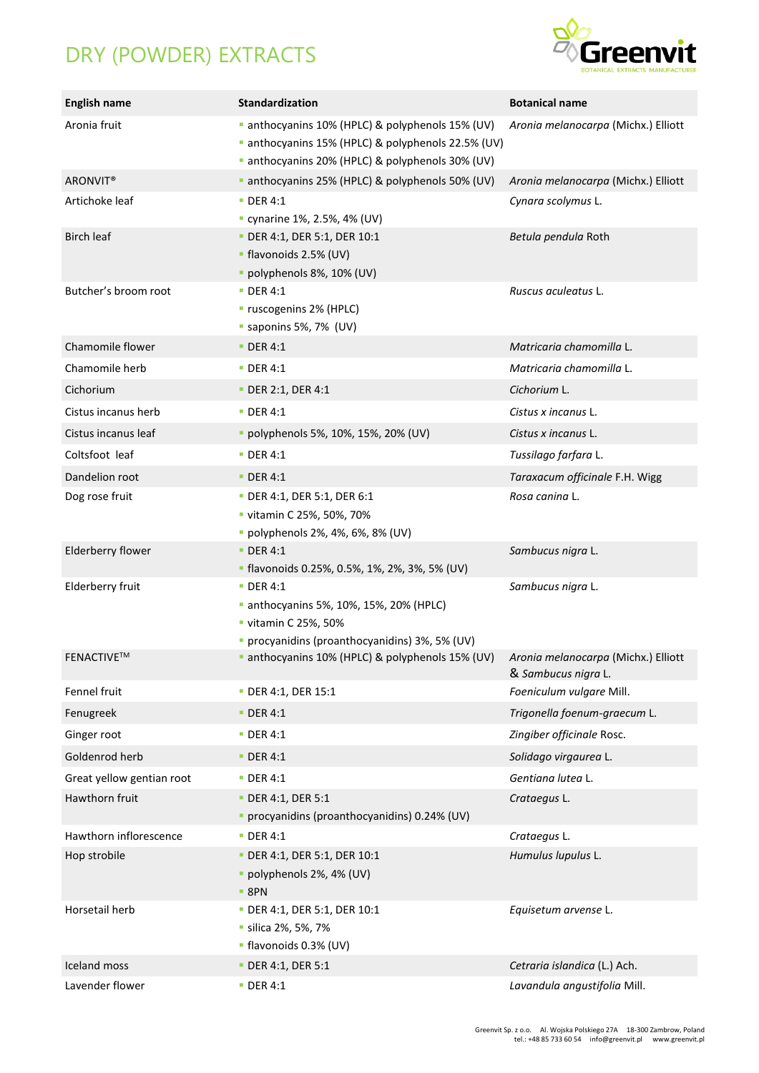## DRY (POWDER) EXTRACTS



| <b>English name</b>       | Standardization                                                                                                                                      | <b>Botanical name</b>                                      |
|---------------------------|------------------------------------------------------------------------------------------------------------------------------------------------------|------------------------------------------------------------|
| Aronia fruit              | anthocyanins 10% (HPLC) & polyphenols 15% (UV)<br>anthocyanins 15% (HPLC) & polyphenols 22.5% (UV)<br>anthocyanins 20% (HPLC) & polyphenols 30% (UV) | Aronia melanocarpa (Michx.) Elliott                        |
| ARONVIT <sup>®</sup>      | anthocyanins 25% (HPLC) & polyphenols 50% (UV)                                                                                                       | Aronia melanocarpa (Michx.) Elliott                        |
| Artichoke leaf            | $\blacksquare$ DER 4:1<br>" cynarine 1%, 2.5%, 4% (UV)                                                                                               | Cynara scolymus L.                                         |
| <b>Birch leaf</b>         | DER 4:1, DER 5:1, DER 10:1<br>• flavonoids 2.5% (UV)<br>· polyphenols 8%, 10% (UV)                                                                   | Betula pendula Roth                                        |
| Butcher's broom root      | <b>DER 4:1</b><br>" ruscogenins 2% (HPLC)<br>saponins 5%, 7% (UV)                                                                                    | Ruscus aculeatus L.                                        |
| Chamomile flower          | <b>DER 4:1</b>                                                                                                                                       | Matricaria chamomilla L.                                   |
| Chamomile herb            | <b>DER 4:1</b>                                                                                                                                       | Matricaria chamomilla L.                                   |
| Cichorium                 | DER 2:1, DER 4:1                                                                                                                                     | Cichorium L.                                               |
| Cistus incanus herb       | <b>DER 4:1</b>                                                                                                                                       | Cistus x incanus L.                                        |
| Cistus incanus leaf       | · polyphenols 5%, 10%, 15%, 20% (UV)                                                                                                                 | Cistus x incanus L.                                        |
| Coltsfoot leaf            | $\blacksquare$ DER 4:1                                                                                                                               | Tussilago farfara L.                                       |
| Dandelion root            | <b>DER 4:1</b>                                                                                                                                       | Taraxacum officinale F.H. Wigg                             |
| Dog rose fruit            | DER 4:1, DER 5:1, DER 6:1<br>vitamin C 25%, 50%, 70%<br>· polyphenols 2%, 4%, 6%, 8% (UV)                                                            | Rosa canina L.                                             |
| Elderberry flower         | <b>DER 4:1</b><br>" flavonoids 0.25%, 0.5%, 1%, 2%, 3%, 5% (UV)                                                                                      | Sambucus nigra L.                                          |
| Elderberry fruit          | $\blacksquare$ DER 4:1<br>anthocyanins 5%, 10%, 15%, 20% (HPLC)<br>■ vitamin C 25%, 50%<br>· procyanidins (proanthocyanidins) 3%, 5% (UV)            | Sambucus nigra L.                                          |
| FENACTIVE™                | anthocyanins 10% (HPLC) & polyphenols 15% (UV)                                                                                                       | Aronia melanocarpa (Michx.) Elliott<br>& Sambucus nigra L. |
| Fennel fruit              | • DER 4:1, DER 15:1                                                                                                                                  | Foeniculum vulgare Mill.                                   |
| Fenugreek                 | $\blacksquare$ DER 4:1                                                                                                                               | Trigonella foenum-graecum L.                               |
| Ginger root               | $\blacksquare$ DER 4:1                                                                                                                               | Zingiber officinale Rosc.                                  |
| Goldenrod herb            | $\blacksquare$ DER 4:1                                                                                                                               | Solidago virgaurea L.                                      |
| Great yellow gentian root | <b>DER 4:1</b>                                                                                                                                       | Gentiana lutea L.                                          |
| Hawthorn fruit            | <b>• DER 4:1, DER 5:1</b><br>· procyanidins (proanthocyanidins) 0.24% (UV)                                                                           | Crataegus L.                                               |
| Hawthorn inflorescence    | $\blacksquare$ DER 4:1                                                                                                                               | Crataegus L.                                               |
| Hop strobile              | DER 4:1, DER 5:1, DER 10:1<br>· polyphenols 2%, 4% (UV)<br>$-$ 8PN                                                                                   | Humulus lupulus L.                                         |
| Horsetail herb            | DER 4:1, DER 5:1, DER 10:1<br>· silica 2%, 5%, 7%<br>· flavonoids 0.3% (UV)                                                                          | Equisetum arvense L.                                       |
| Iceland moss              | • DER 4:1, DER 5:1                                                                                                                                   | Cetraria islandica (L.) Ach.                               |
| Lavender flower           | <b>DER 4:1</b>                                                                                                                                       | Lavandula angustifolia Mill.                               |